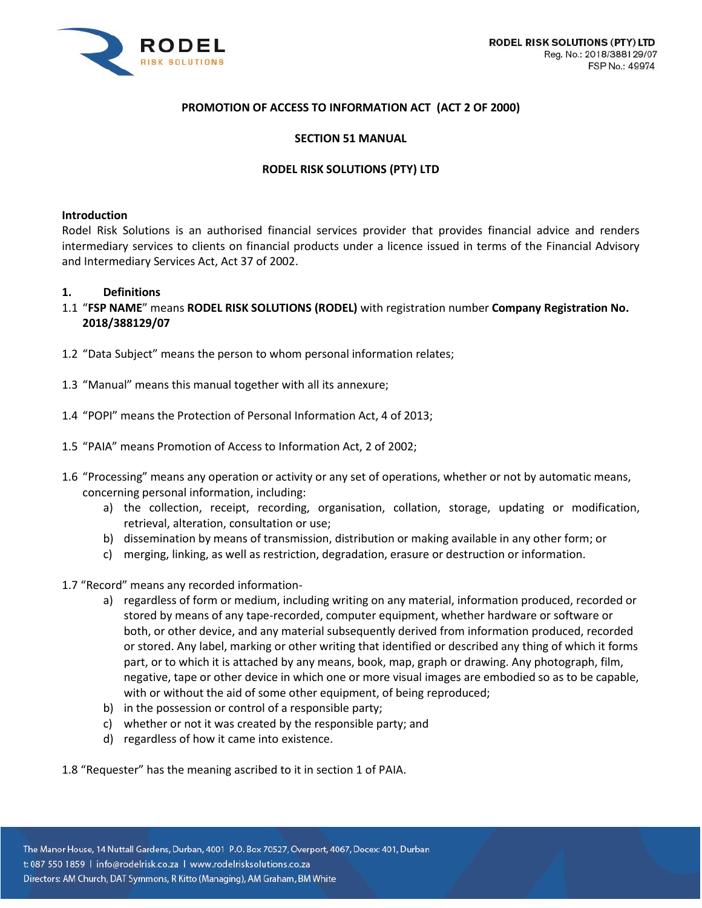

Reg. No.: 2018/388129/07

FSP No.: 49974



# **PROMOTION OF ACCESS TO INFORMATION ACT (ACT 2 OF 2000)**

### **SECTION 51 MANUAL**

### **RODEL RISK SOLUTIONS (PTY) LTD**

#### **Introduction**

Rodel Risk Solutions is an authorised financial services provider that provides financial advice and renders intermediary services to clients on financial products under a licence issued in terms of the Financial Advisory and Intermediary Services Act, Act 37 of 2002.

#### **1. Definitions**

- 1.1 "**FSP NAME**" means **RODEL RISK SOLUTIONS (RODEL)** with registration number **Company Registration No. 2018/388129/07**
- 1.2 "Data Subject" means the person to whom personal information relates;
- 1.3 "Manual" means this manual together with all its annexure;
- 1.4 "POPI" means the Protection of Personal Information Act, 4 of 2013;
- 1.5 "PAIA" means Promotion of Access to Information Act, 2 of 2002;
- 1.6 "Processing" means any operation or activity or any set of operations, whether or not by automatic means, concerning personal information, including:
	- a) the collection, receipt, recording, organisation, collation, storage, updating or modification, retrieval, alteration, consultation or use;
	- b) dissemination by means of transmission, distribution or making available in any other form; or
	- c) merging, linking, as well as restriction, degradation, erasure or destruction or information.
- 1.7 "Record" means any recorded information
	- a) regardless of form or medium, including writing on any material, information produced, recorded or stored by means of any tape-recorded, computer equipment, whether hardware or software or both, or other device, and any material subsequently derived from information produced, recorded or stored. Any label, marking or other writing that identified or described any thing of which it forms part, or to which it is attached by any means, book, map, graph or drawing. Any photograph, film, negative, tape or other device in which one or more visual images are embodied so as to be capable, with or without the aid of some other equipment, of being reproduced;
	- b) in the possession or control of a responsible party;
	- c) whether or not it was created by the responsible party; and
	- d) regardless of how it came into existence.

1.8 "Requester" has the meaning ascribed to it in section 1 of PAIA.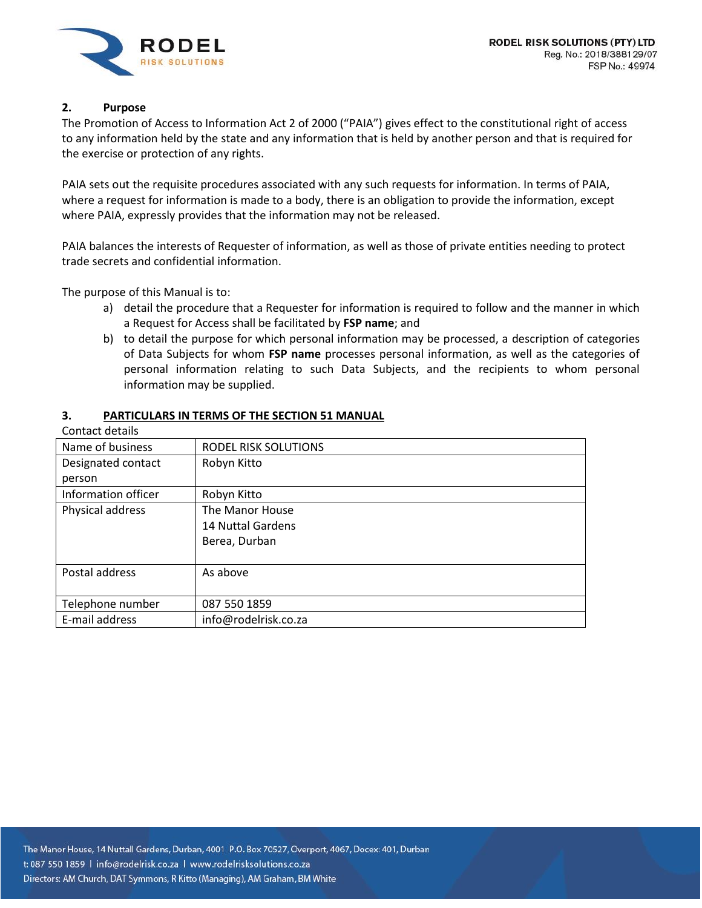

# **2. Purpose**

The Promotion of Access to Information Act 2 of 2000 ("PAIA") gives effect to the constitutional right of access to any information held by the state and any information that is held by another person and that is required for the exercise or protection of any rights.

PAIA sets out the requisite procedures associated with any such requests for information. In terms of PAIA, where a request for information is made to a body, there is an obligation to provide the information, except where PAIA, expressly provides that the information may not be released.

PAIA balances the interests of Requester of information, as well as those of private entities needing to protect trade secrets and confidential information.

The purpose of this Manual is to:

- a) detail the procedure that a Requester for information is required to follow and the manner in which a Request for Access shall be facilitated by **FSP name**; and
- b) to detail the purpose for which personal information may be processed, a description of categories of Data Subjects for whom **FSP name** processes personal information, as well as the categories of personal information relating to such Data Subjects, and the recipients to whom personal information may be supplied.

## **3. PARTICULARS IN TERMS OF THE SECTION 51 MANUAL**

| Contact details     |                      |
|---------------------|----------------------|
| Name of business    | RODEL RISK SOLUTIONS |
| Designated contact  | Robyn Kitto          |
| person              |                      |
| Information officer | Robyn Kitto          |
| Physical address    | The Manor House      |
|                     | 14 Nuttal Gardens    |
|                     | Berea, Durban        |
|                     |                      |
| Postal address      | As above             |
|                     |                      |
| Telephone number    | 087 550 1859         |
| E-mail address      | info@rodelrisk.co.za |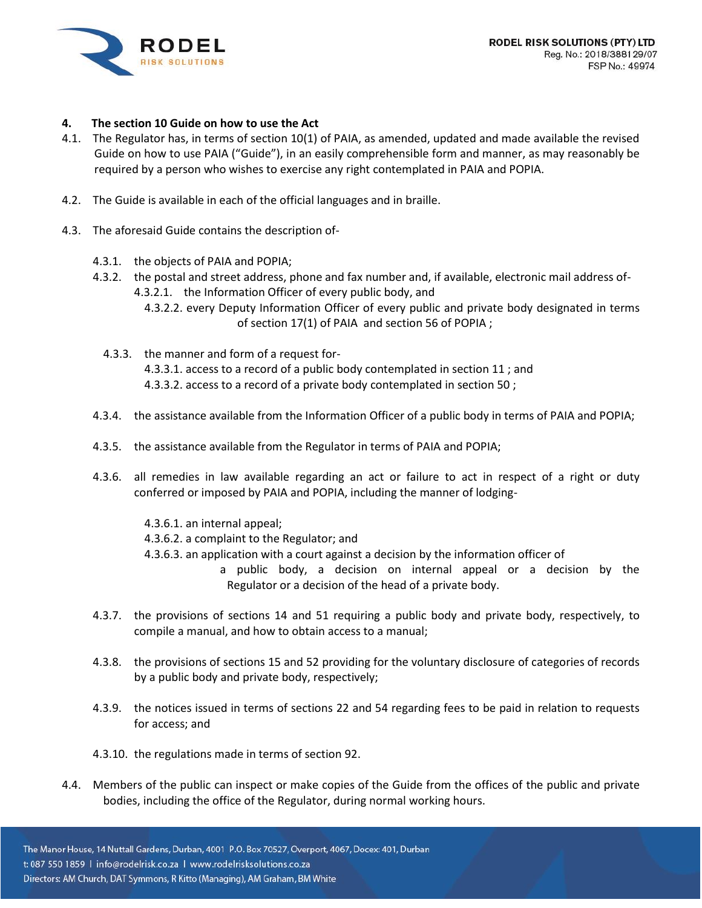

## **4. The section 10 Guide on how to use the Act**

- 4.1. The Regulator has, in terms of section 10(1) of PAIA, as amended, updated and made available the revised Guide on how to use PAIA ("Guide"), in an easily comprehensible form and manner, as may reasonably be required by a person who wishes to exercise any right contemplated in PAIA and POPIA.
- 4.2. The Guide is available in each of the official languages and in braille.
- 4.3. The aforesaid Guide contains the description of-
	- 4.3.1. the objects of PAIA and POPIA;
	- 4.3.2. the postal and street address, phone and fax number and, if available, electronic mail address of-4.3.2.1. the Information Officer of every public body, and
		- 4.3.2.2. every Deputy Information Officer of every public and private body designated in terms of section 17(1) of PAIA and section 56 of POPIA ;
		- 4.3.3. the manner and form of a request for- 4.3.3.1. access to a record of a public body contemplated in section 11 ; and 4.3.3.2. access to a record of a private body contemplated in section 50 ;
	- 4.3.4. the assistance available from the Information Officer of a public body in terms of PAIA and POPIA;
	- 4.3.5. the assistance available from the Regulator in terms of PAIA and POPIA;
	- 4.3.6. all remedies in law available regarding an act or failure to act in respect of a right or duty conferred or imposed by PAIA and POPIA, including the manner of lodging-
		- 4.3.6.1. an internal appeal;
		- 4.3.6.2. a complaint to the Regulator; and
		- 4.3.6.3. an application with a court against a decision by the information officer of
			- a public body, a decision on internal appeal or a decision by the Regulator or a decision of the head of a private body.
	- 4.3.7. the provisions of sections 14 and 51 requiring a public body and private body, respectively, to compile a manual, and how to obtain access to a manual;
	- 4.3.8. the provisions of sections 15 and 52 providing for the voluntary disclosure of categories of records by a public body and private body, respectively;
	- 4.3.9. the notices issued in terms of sections 22 and 54 regarding fees to be paid in relation to requests for access; and
	- 4.3.10. the regulations made in terms of section 92.
- 4.4. Members of the public can inspect or make copies of the Guide from the offices of the public and private bodies, including the office of the Regulator, during normal working hours.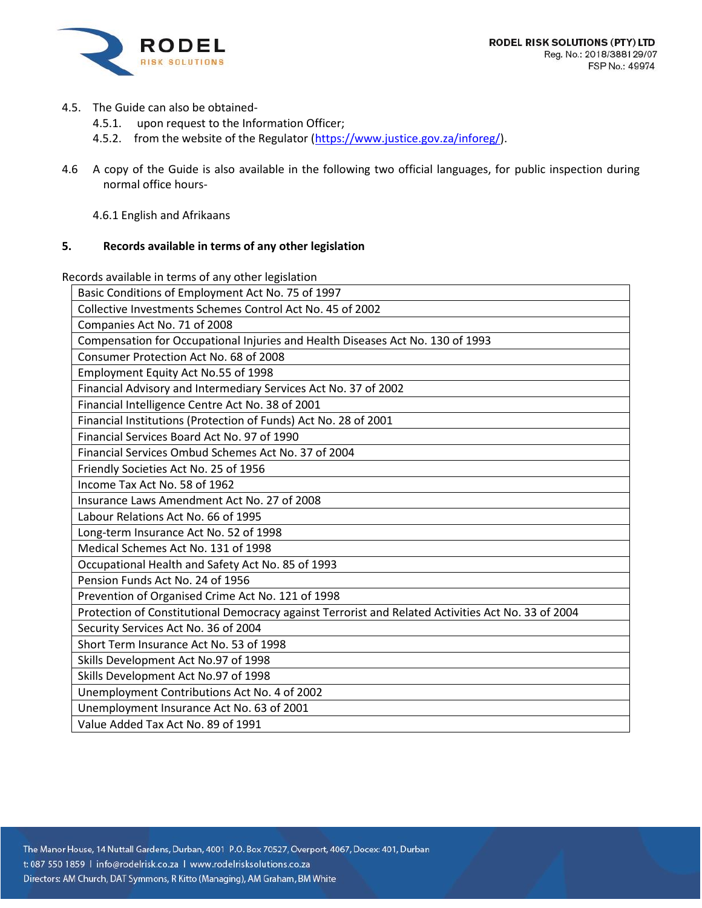

- 4.5. The Guide can also be obtained-
	- 4.5.1. upon request to the Information Officer;
	- 4.5.2. from the website of the Regulator [\(https://www.justice.gov.za/inforeg/\)](https://www.justice.gov.za/inforeg/).
- 4.6 A copy of the Guide is also available in the following two official languages, for public inspection during normal office hours-
	- 4.6.1 English and Afrikaans

## **5. Records available in terms of any other legislation**

Records available in terms of any other legislation

| Basic Conditions of Employment Act No. 75 of 1997                                                  |
|----------------------------------------------------------------------------------------------------|
| Collective Investments Schemes Control Act No. 45 of 2002                                          |
| Companies Act No. 71 of 2008                                                                       |
| Compensation for Occupational Injuries and Health Diseases Act No. 130 of 1993                     |
| Consumer Protection Act No. 68 of 2008                                                             |
| Employment Equity Act No.55 of 1998                                                                |
| Financial Advisory and Intermediary Services Act No. 37 of 2002                                    |
| Financial Intelligence Centre Act No. 38 of 2001                                                   |
| Financial Institutions (Protection of Funds) Act No. 28 of 2001                                    |
| Financial Services Board Act No. 97 of 1990                                                        |
| Financial Services Ombud Schemes Act No. 37 of 2004                                                |
| Friendly Societies Act No. 25 of 1956                                                              |
| Income Tax Act No. 58 of 1962                                                                      |
| Insurance Laws Amendment Act No. 27 of 2008                                                        |
| Labour Relations Act No. 66 of 1995                                                                |
| Long-term Insurance Act No. 52 of 1998                                                             |
| Medical Schemes Act No. 131 of 1998                                                                |
| Occupational Health and Safety Act No. 85 of 1993                                                  |
| Pension Funds Act No. 24 of 1956                                                                   |
| Prevention of Organised Crime Act No. 121 of 1998                                                  |
| Protection of Constitutional Democracy against Terrorist and Related Activities Act No. 33 of 2004 |
| Security Services Act No. 36 of 2004                                                               |
| Short Term Insurance Act No. 53 of 1998                                                            |
| Skills Development Act No.97 of 1998                                                               |
| Skills Development Act No.97 of 1998                                                               |
| Unemployment Contributions Act No. 4 of 2002                                                       |
| Unemployment Insurance Act No. 63 of 2001                                                          |
| Value Added Tax Act No. 89 of 1991                                                                 |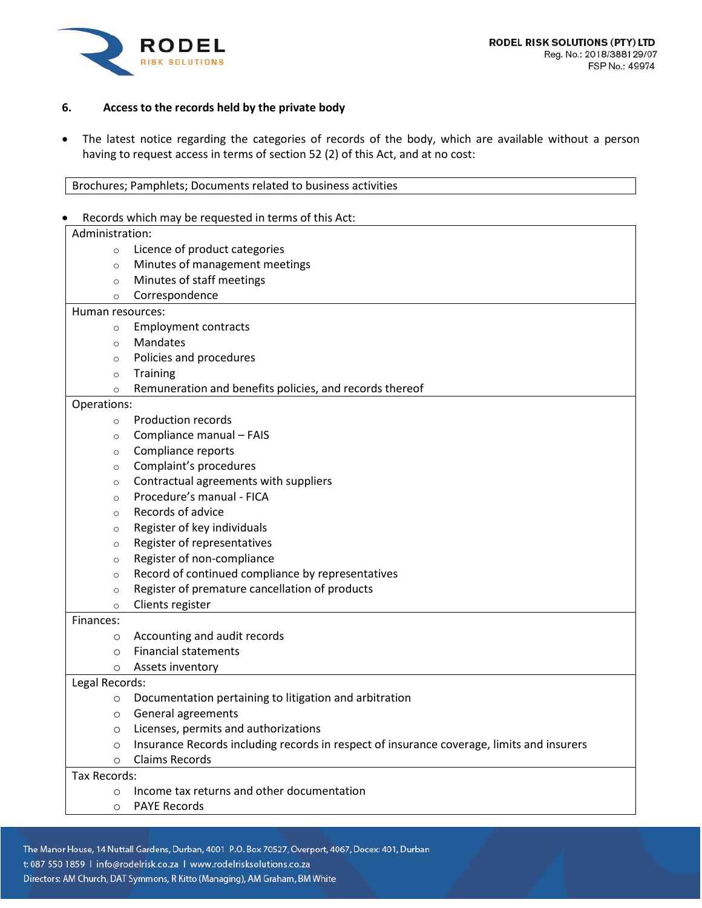



## **6. Access to the records held by the private body**

• The latest notice regarding the categories of records of the body, which are available without a person having to request access in terms of section 52 (2) of this Act, and at no cost:

#### • Records which may be requested in terms of this Act:

| Administration:  |                                                                                           |
|------------------|-------------------------------------------------------------------------------------------|
| $\circ$          | Licence of product categories                                                             |
| $\circ$          | Minutes of management meetings                                                            |
| $\circ$          | Minutes of staff meetings                                                                 |
| $\circ$          | Correspondence                                                                            |
| Human resources: |                                                                                           |
| $\circ$          | <b>Employment contracts</b>                                                               |
| $\circ$          | Mandates                                                                                  |
| $\circ$          | Policies and procedures                                                                   |
| $\circ$          | <b>Training</b>                                                                           |
| $\circ$          | Remuneration and benefits policies, and records thereof                                   |
| Operations:      |                                                                                           |
| $\circ$          | <b>Production records</b>                                                                 |
| $\circ$          | Compliance manual - FAIS                                                                  |
| $\circ$          | Compliance reports                                                                        |
| $\circ$          | Complaint's procedures                                                                    |
| $\circ$          | Contractual agreements with suppliers                                                     |
| $\circ$          | Procedure's manual - FICA                                                                 |
| $\circ$          | Records of advice                                                                         |
| $\circ$          | Register of key individuals                                                               |
| $\circ$          | Register of representatives                                                               |
| $\circ$          | Register of non-compliance                                                                |
| $\circ$          | Record of continued compliance by representatives                                         |
| $\circ$          | Register of premature cancellation of products                                            |
| $\circ$          | Clients register                                                                          |
| Finances:        |                                                                                           |
| O                | Accounting and audit records                                                              |
| $\circ$          | <b>Financial statements</b>                                                               |
| $\circ$          | Assets inventory                                                                          |
| Legal Records:   |                                                                                           |
| $\circ$          | Documentation pertaining to litigation and arbitration                                    |
| $\circ$          | General agreements                                                                        |
| O                | Licenses, permits and authorizations                                                      |
| O                | Insurance Records including records in respect of insurance coverage, limits and insurers |
| $\circ$          | <b>Claims Records</b>                                                                     |
| Tax Records:     |                                                                                           |
| $\circ$          | Income tax returns and other documentation                                                |
| $\circ$          | <b>PAYE Records</b>                                                                       |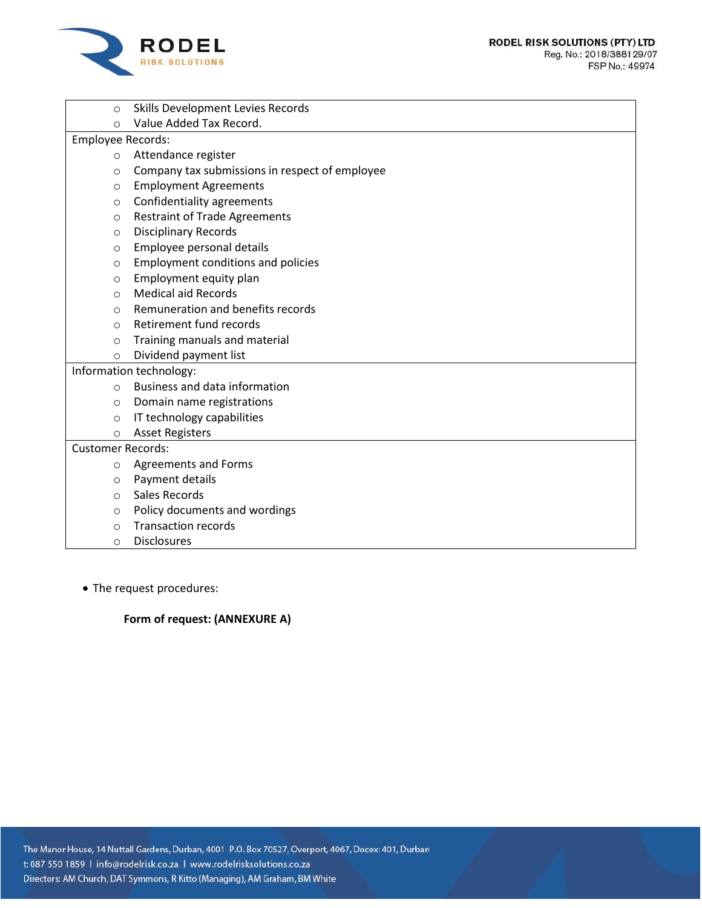

| $\circ$                  | Skills Development Levies Records              |  |
|--------------------------|------------------------------------------------|--|
| $\Omega$                 | Value Added Tax Record.                        |  |
| Employee Records:        |                                                |  |
| $\circ$                  | Attendance register                            |  |
| $\circ$                  | Company tax submissions in respect of employee |  |
| $\circ$                  | <b>Employment Agreements</b>                   |  |
| $\circ$                  | Confidentiality agreements                     |  |
| $\circ$                  | <b>Restraint of Trade Agreements</b>           |  |
| $\circ$                  | <b>Disciplinary Records</b>                    |  |
| $\circ$                  | Employee personal details                      |  |
| $\circ$                  | <b>Employment conditions and policies</b>      |  |
| $\circ$                  | Employment equity plan                         |  |
| $\Omega$                 | <b>Medical aid Records</b>                     |  |
| O                        | Remuneration and benefits records              |  |
| $\Omega$                 | Retirement fund records                        |  |
| $\circ$                  | Training manuals and material                  |  |
| $\circ$                  | Dividend payment list                          |  |
|                          | Information technology:                        |  |
| $\Omega$                 | <b>Business and data information</b>           |  |
| $\circ$                  | Domain name registrations                      |  |
| $\circ$                  | IT technology capabilities                     |  |
| $\circ$                  | <b>Asset Registers</b>                         |  |
| <b>Customer Records:</b> |                                                |  |
| $\circ$                  | <b>Agreements and Forms</b>                    |  |
| $\circ$                  | Payment details                                |  |
| $\circ$                  | Sales Records                                  |  |
| $\circ$                  | Policy documents and wordings                  |  |
| $\circ$                  | <b>Transaction records</b>                     |  |
| $\circ$                  | <b>Disclosures</b>                             |  |

• The request procedures:

# **Form of request: (ANNEXURE A)**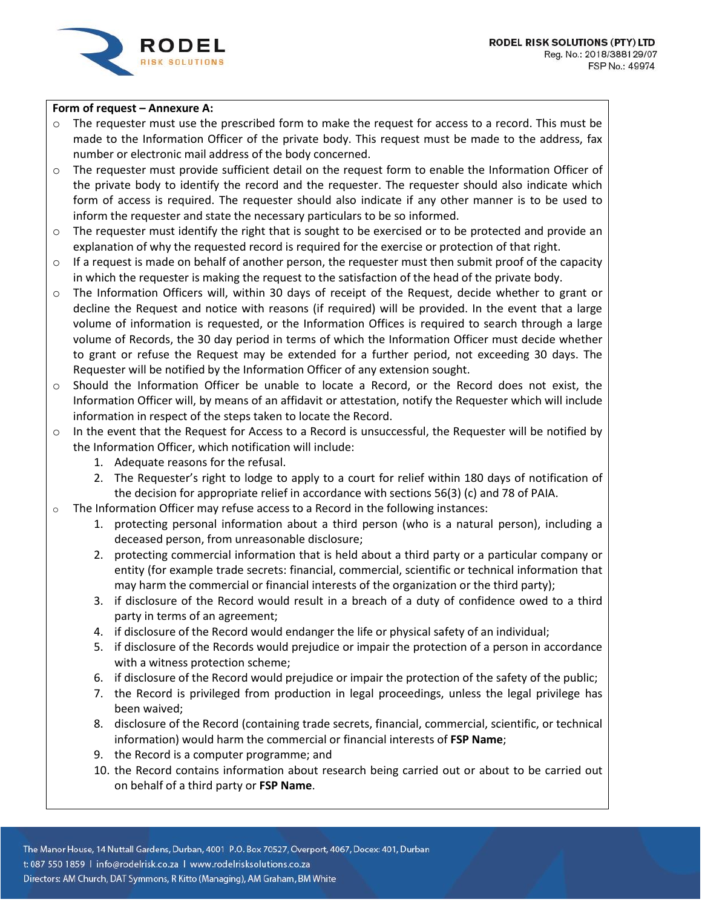

### **Form of request – Annexure A:**

- $\circ$  The requester must use the prescribed form to make the request for access to a record. This must be made to the Information Officer of the private body. This request must be made to the address, fax number or electronic mail address of the body concerned.
- o The requester must provide sufficient detail on the request form to enable the Information Officer of the private body to identify the record and the requester. The requester should also indicate which form of access is required. The requester should also indicate if any other manner is to be used to inform the requester and state the necessary particulars to be so informed.
- o The requester must identify the right that is sought to be exercised or to be protected and provide an explanation of why the requested record is required for the exercise or protection of that right.
- $\circ$  If a request is made on behalf of another person, the requester must then submit proof of the capacity in which the requester is making the request to the satisfaction of the head of the private body.
- o The Information Officers will, within 30 days of receipt of the Request, decide whether to grant or decline the Request and notice with reasons (if required) will be provided. In the event that a large volume of information is requested, or the Information Offices is required to search through a large volume of Records, the 30 day period in terms of which the Information Officer must decide whether to grant or refuse the Request may be extended for a further period, not exceeding 30 days. The Requester will be notified by the Information Officer of any extension sought.
- o Should the Information Officer be unable to locate a Record, or the Record does not exist, the Information Officer will, by means of an affidavit or attestation, notify the Requester which will include information in respect of the steps taken to locate the Record.
- o In the event that the Request for Access to a Record is unsuccessful, the Requester will be notified by the Information Officer, which notification will include:
	- 1. Adequate reasons for the refusal.
	- 2. The Requester's right to lodge to apply to a court for relief within 180 days of notification of the decision for appropriate relief in accordance with sections 56(3) (c) and 78 of PAIA.
- $\circ$  The Information Officer may refuse access to a Record in the following instances:
	- 1. protecting personal information about a third person (who is a natural person), including a deceased person, from unreasonable disclosure;
	- 2. protecting commercial information that is held about a third party or a particular company or entity (for example trade secrets: financial, commercial, scientific or technical information that may harm the commercial or financial interests of the organization or the third party);
	- 3. if disclosure of the Record would result in a breach of a duty of confidence owed to a third party in terms of an agreement;
	- 4. if disclosure of the Record would endanger the life or physical safety of an individual;
	- 5. if disclosure of the Records would prejudice or impair the protection of a person in accordance with a witness protection scheme;
	- 6. if disclosure of the Record would prejudice or impair the protection of the safety of the public;
	- 7. the Record is privileged from production in legal proceedings, unless the legal privilege has been waived;
	- 8. disclosure of the Record (containing trade secrets, financial, commercial, scientific, or technical information) would harm the commercial or financial interests of **FSP Name**;
	- 9. the Record is a computer programme; and
	- 10. the Record contains information about research being carried out or about to be carried out on behalf of a third party or **FSP Name**.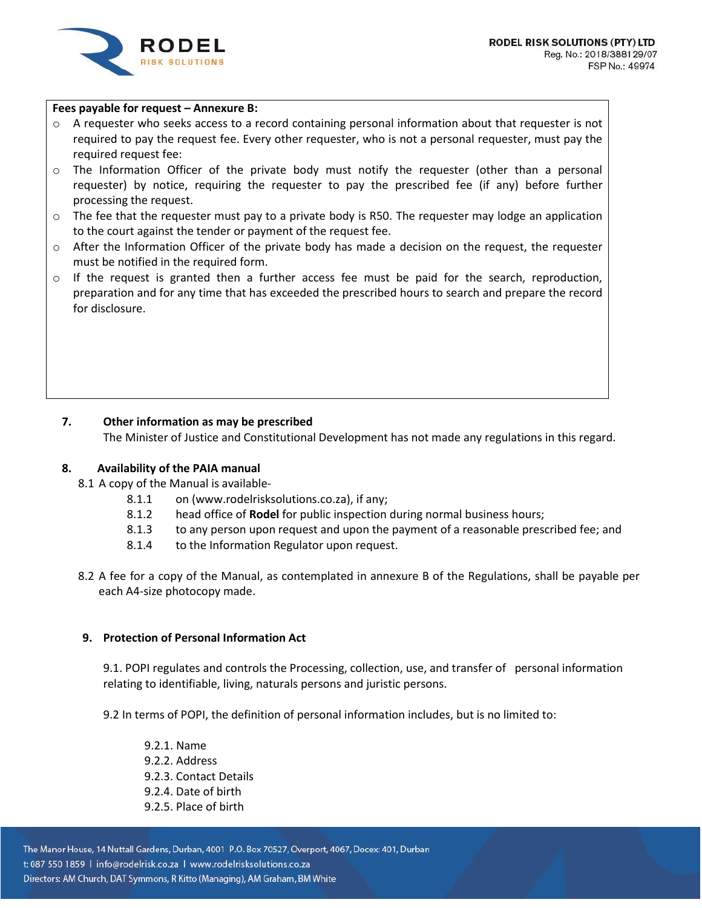

### **Fees payable for request – Annexure B:**

- o A requester who seeks access to a record containing personal information about that requester is not required to pay the request fee. Every other requester, who is not a personal requester, must pay the required request fee:
- o The Information Officer of the private body must notify the requester (other than a personal requester) by notice, requiring the requester to pay the prescribed fee (if any) before further processing the request.
- $\circ$  The fee that the requester must pay to a private body is R50. The requester may lodge an application to the court against the tender or payment of the request fee.
- $\circ$  After the Information Officer of the private body has made a decision on the request, the requester must be notified in the required form.
- $\circ$  If the request is granted then a further access fee must be paid for the search, reproduction, preparation and for any time that has exceeded the prescribed hours to search and prepare the record for disclosure.

# **7. Other information as may be prescribed**

The Minister of Justice and Constitutional Development has not made any regulations in this regard.

#### **8. Availability of the PAIA manual**

- 8.1 A copy of the Manual is available-
	- 8.1.1 on (www.rodelrisksolutions.co.za), if any;
	- 8.1.2 head office of **Rodel** for public inspection during normal business hours;
	- 8.1.3 to any person upon request and upon the payment of a reasonable prescribed fee; and
	- 8.1.4 to the Information Regulator upon request.
- 8.2 A fee for a copy of the Manual, as contemplated in annexure B of the Regulations, shall be payable per each A4-size photocopy made.

### **9. Protection of Personal Information Act**

9.1. POPI regulates and controls the Processing, collection, use, and transfer of personal information relating to identifiable, living, naturals persons and juristic persons.

9.2 In terms of POPI, the definition of personal information includes, but is no limited to:

9.2.1. Name 9.2.2. Address 9.2.3. Contact Details 9.2.4. Date of birth 9.2.5. Place of birth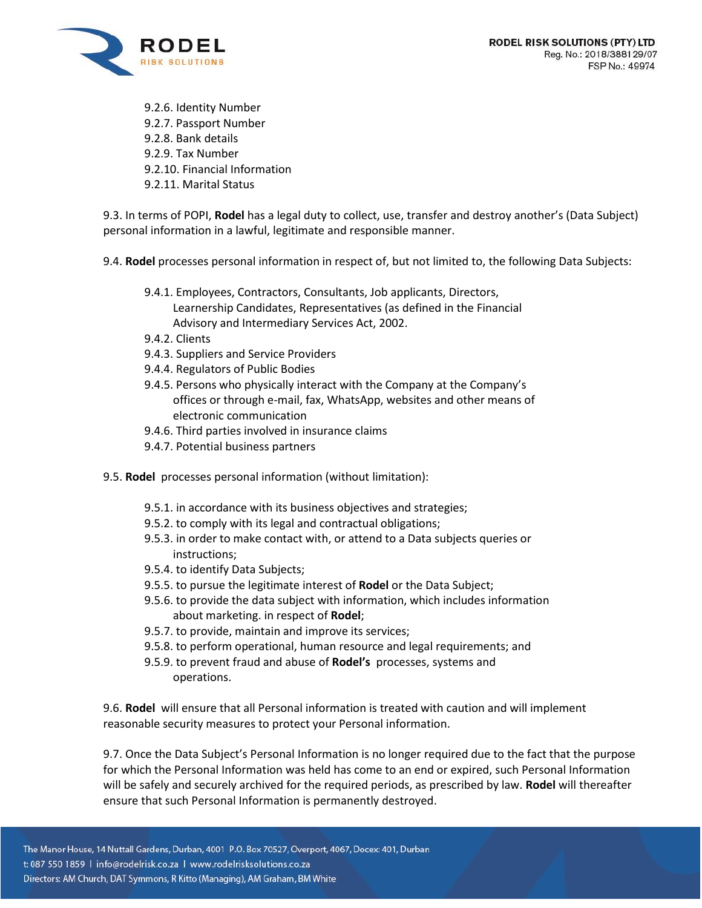

9.2.6. Identity Number 9.2.7. Passport Number 9.2.8. Bank details 9.2.9. Tax Number 9.2.10. Financial Information 9.2.11. Marital Status

9.3. In terms of POPI, **Rodel** has a legal duty to collect, use, transfer and destroy another's (Data Subject) personal information in a lawful, legitimate and responsible manner.

9.4. **Rodel** processes personal information in respect of, but not limited to, the following Data Subjects:

- 9.4.1. Employees, Contractors, Consultants, Job applicants, Directors, Learnership Candidates, Representatives (as defined in the Financial Advisory and Intermediary Services Act, 2002.
- 9.4.2. Clients
- 9.4.3. Suppliers and Service Providers
- 9.4.4. Regulators of Public Bodies
- 9.4.5. Persons who physically interact with the Company at the Company's offices or through e-mail, fax, WhatsApp, websites and other means of electronic communication
- 9.4.6. Third parties involved in insurance claims
- 9.4.7. Potential business partners
- 9.5. **Rodel** processes personal information (without limitation):
	- 9.5.1. in accordance with its business objectives and strategies;
	- 9.5.2. to comply with its legal and contractual obligations;
	- 9.5.3. in order to make contact with, or attend to a Data subjects queries or instructions;
	- 9.5.4. to identify Data Subjects;
	- 9.5.5. to pursue the legitimate interest of **Rodel** or the Data Subject;
	- 9.5.6. to provide the data subject with information, which includes information about marketing. in respect of **Rodel**;
	- 9.5.7. to provide, maintain and improve its services;
	- 9.5.8. to perform operational, human resource and legal requirements; and
	- 9.5.9. to prevent fraud and abuse of **Rodel's** processes, systems and operations.

9.6. **Rodel** will ensure that all Personal information is treated with caution and will implement reasonable security measures to protect your Personal information.

9.7. Once the Data Subject's Personal Information is no longer required due to the fact that the purpose for which the Personal Information was held has come to an end or expired, such Personal Information will be safely and securely archived for the required periods, as prescribed by law. **Rodel** will thereafter ensure that such Personal Information is permanently destroyed.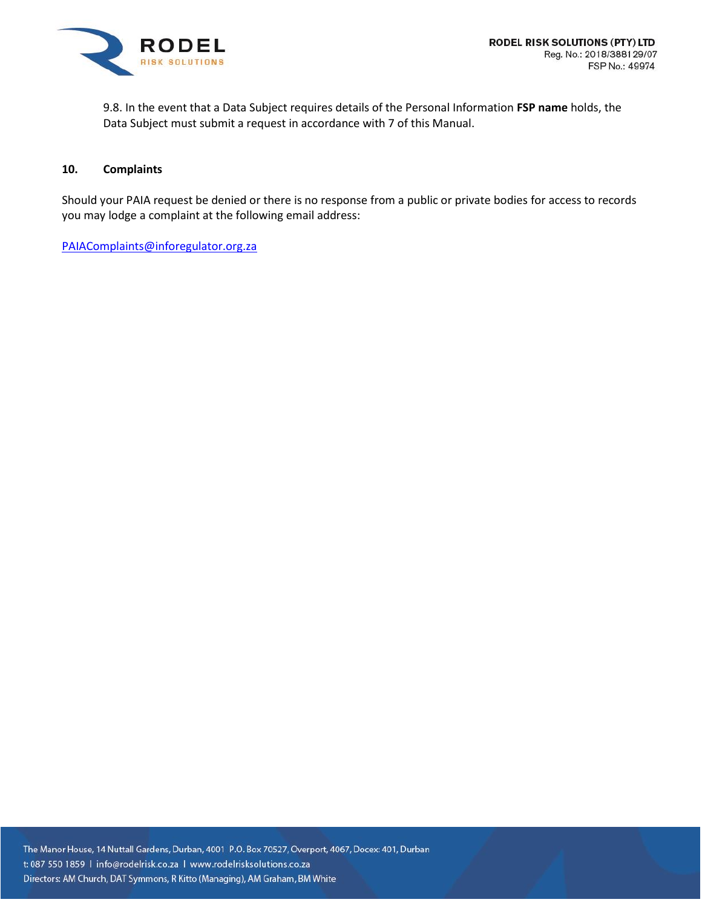

9.8. In the event that a Data Subject requires details of the Personal Information **FSP name** holds, the Data Subject must submit a request in accordance with 7 of this Manual.

### **10. Complaints**

Should your PAIA request be denied or there is no response from a public or private bodies for access to records you may lodge a complaint at the following email address:

[PAIAComplaints@inforegulator.org.za](mailto:PAIAComplaints@inforegulator.org.za)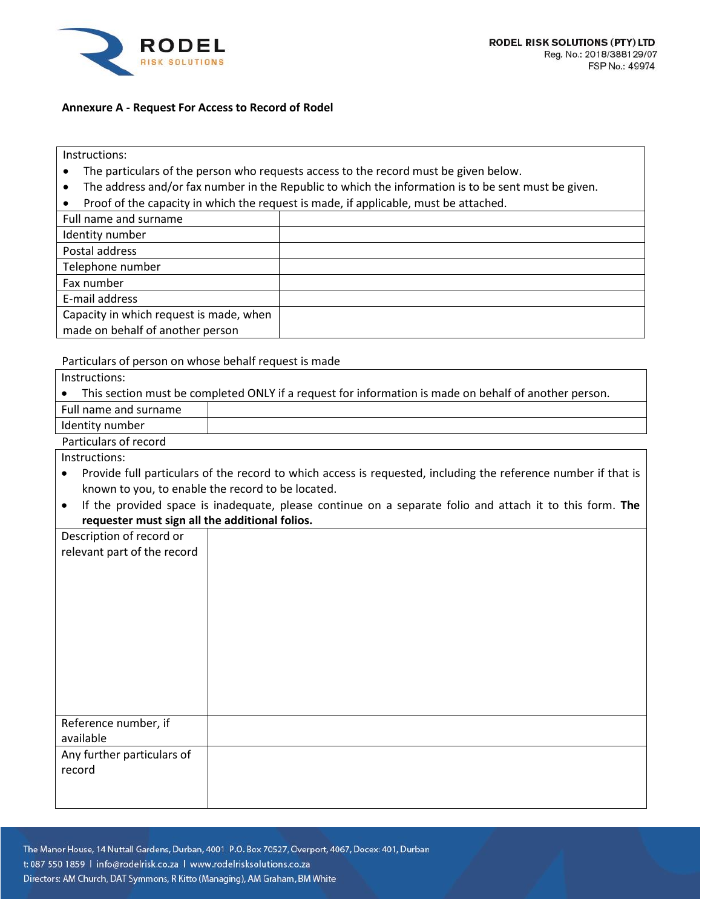

### **Annexure A - Request For Access to Record of Rodel**

Instructions:

- The particulars of the person who requests access to the record must be given below.
- The address and/or fax number in the Republic to which the information is to be sent must be given.
- Proof of the capacity in which the request is made, if applicable, must be attached.

| Full name and surname                   |  |
|-----------------------------------------|--|
| Identity number                         |  |
| Postal address                          |  |
| Telephone number                        |  |
| Fax number                              |  |
| E-mail address                          |  |
| Capacity in which request is made, when |  |
| made on behalf of another person        |  |

#### Particulars of person on whose behalf request is made

| Instructions:         |                                                                                                       |  |
|-----------------------|-------------------------------------------------------------------------------------------------------|--|
|                       | This section must be completed ONLY if a request for information is made on behalf of another person. |  |
| Full name and surname |                                                                                                       |  |
| Identity number       |                                                                                                       |  |
| Particulars of record |                                                                                                       |  |

Instructions:

- Provide full particulars of the record to which access is requested, including the reference number if that is known to you, to enable the record to be located.
- If the provided space is inadequate, please continue on a separate folio and attach it to this form. **The requester must sign all the additional folios.**

| . .<br>$\tilde{\phantom{a}}$ |  |
|------------------------------|--|
| Description of record or     |  |
| relevant part of the record  |  |
|                              |  |
|                              |  |
|                              |  |
|                              |  |
|                              |  |
|                              |  |
|                              |  |
|                              |  |
|                              |  |
|                              |  |
|                              |  |
|                              |  |
| Reference number, if         |  |
| available                    |  |
| Any further particulars of   |  |
|                              |  |
| record                       |  |
|                              |  |
|                              |  |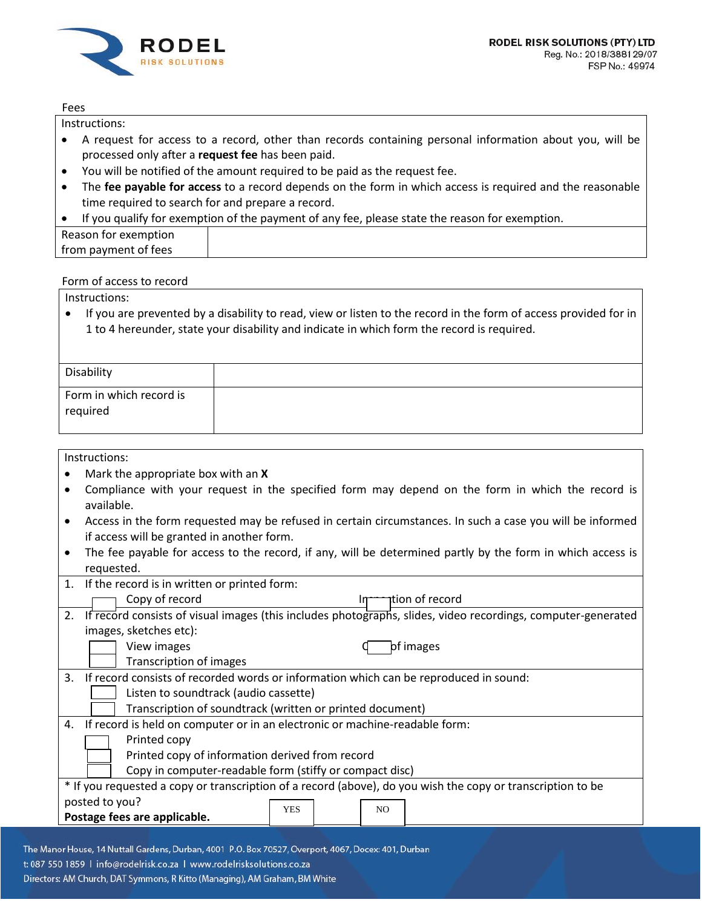

#### Fees

Instructions:

- A request for access to a record, other than records containing personal information about you, will be processed only after a **request fee** has been paid.
- You will be notified of the amount required to be paid as the request fee.
- The **fee payable for access** to a record depends on the form in which access is required and the reasonable time required to search for and prepare a record.
- If you qualify for exemption of the payment of any fee, please state the reason for exemption.

| Reason for exemption |  |
|----------------------|--|
| from payment of fees |  |

# Form of access to record

Instructions:

• If you are prevented by a disability to read, view or listen to the record in the form of access provided for in 1 to 4 hereunder, state your disability and indicate in which form the record is required.

| Disability                          |  |
|-------------------------------------|--|
| Form in which record is<br>required |  |

Instructions:

- Mark the appropriate box with an **X**
- Compliance with your request in the specified form may depend on the form in which the record is available.
- Access in the form requested may be refused in certain circumstances. In such a case you will be informed if access will be granted in another form.
- The fee payable for access to the record, if any, will be determined partly by the form in which access is requested.

| 1. | If the record is in written or printed form:                                                                 |
|----|--------------------------------------------------------------------------------------------------------------|
|    | Copy of record<br>ition of record                                                                            |
| 2. | If record consists of visual images (this includes photographs, slides, video recordings, computer-generated |
|    | images, sketches etc):                                                                                       |
|    | View images<br>of images                                                                                     |
|    | Transcription of images                                                                                      |
| 3. | If record consists of recorded words or information which can be reproduced in sound:                        |
|    | Listen to soundtrack (audio cassette)                                                                        |
|    | Transcription of soundtrack (written or printed document)                                                    |
| 4. | If record is held on computer or in an electronic or machine-readable form:                                  |
|    | Printed copy                                                                                                 |
|    | Printed copy of information derived from record                                                              |
|    | Copy in computer-readable form (stiffy or compact disc)                                                      |
|    | * If you requested a copy or transcription of a record (above), do you wish the copy or transcription to be  |
|    | posted to you?                                                                                               |
|    | <b>YES</b><br>N <sub>O</sub><br>Postage fees are applicable.                                                 |
|    |                                                                                                              |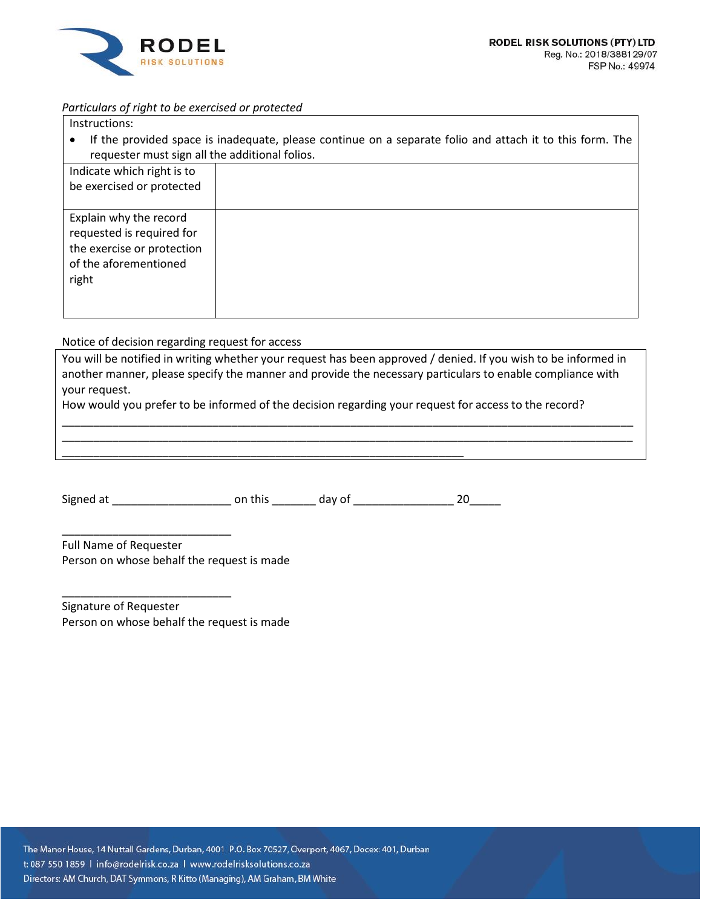

# *Particulars of right to be exercised or protected*

- Instructions:
- If the provided space is inadequate, please continue on a separate folio and attach it to this form. The requester must sign all the additional folios.

| Indicate which right is to |  |
|----------------------------|--|
| be exercised or protected  |  |
|                            |  |
| Explain why the record     |  |
| requested is required for  |  |
| the exercise or protection |  |
| of the aforementioned      |  |
| right                      |  |
|                            |  |
|                            |  |

Notice of decision regarding request for access

You will be notified in writing whether your request has been approved / denied. If you wish to be informed in another manner, please specify the manner and provide the necessary particulars to enable compliance with your request.

\_\_\_\_\_\_\_\_\_\_\_\_\_\_\_\_\_\_\_\_\_\_\_\_\_\_\_\_\_\_\_\_\_\_\_\_\_\_\_\_\_\_\_\_\_\_\_\_\_\_\_\_\_\_\_\_\_\_\_\_\_\_\_\_\_\_\_\_\_\_\_\_\_\_\_\_\_\_\_\_\_\_\_\_\_\_\_\_\_\_\_ \_\_\_\_\_\_\_\_\_\_\_\_\_\_\_\_\_\_\_\_\_\_\_\_\_\_\_\_\_\_\_\_\_\_\_\_\_\_\_\_\_\_\_\_\_\_\_\_\_\_\_\_\_\_\_\_\_\_\_\_\_\_\_\_\_\_\_\_\_\_\_\_\_\_\_\_\_\_\_\_\_\_\_\_\_\_\_\_\_\_\_

How would you prefer to be informed of the decision regarding your request for access to the record?

Signed at \_\_\_\_\_\_\_\_\_\_\_\_\_\_\_\_\_\_\_ on this \_\_\_\_\_\_\_ day of \_\_\_\_\_\_\_\_\_\_\_\_\_\_\_\_ 20\_\_\_\_\_

\_\_\_\_\_\_\_\_\_\_\_\_\_\_\_\_\_\_\_\_\_\_\_\_\_\_\_\_\_\_\_\_\_\_\_\_\_\_\_\_\_\_\_\_\_\_\_\_\_\_\_\_\_\_\_\_\_\_\_\_\_\_\_\_

Full Name of Requester Person on whose behalf the request is made

\_\_\_\_\_\_\_\_\_\_\_\_\_\_\_\_\_\_\_\_\_\_\_\_\_\_\_

\_\_\_\_\_\_\_\_\_\_\_\_\_\_\_\_\_\_\_\_\_\_\_\_\_\_\_

Signature of Requester Person on whose behalf the request is made